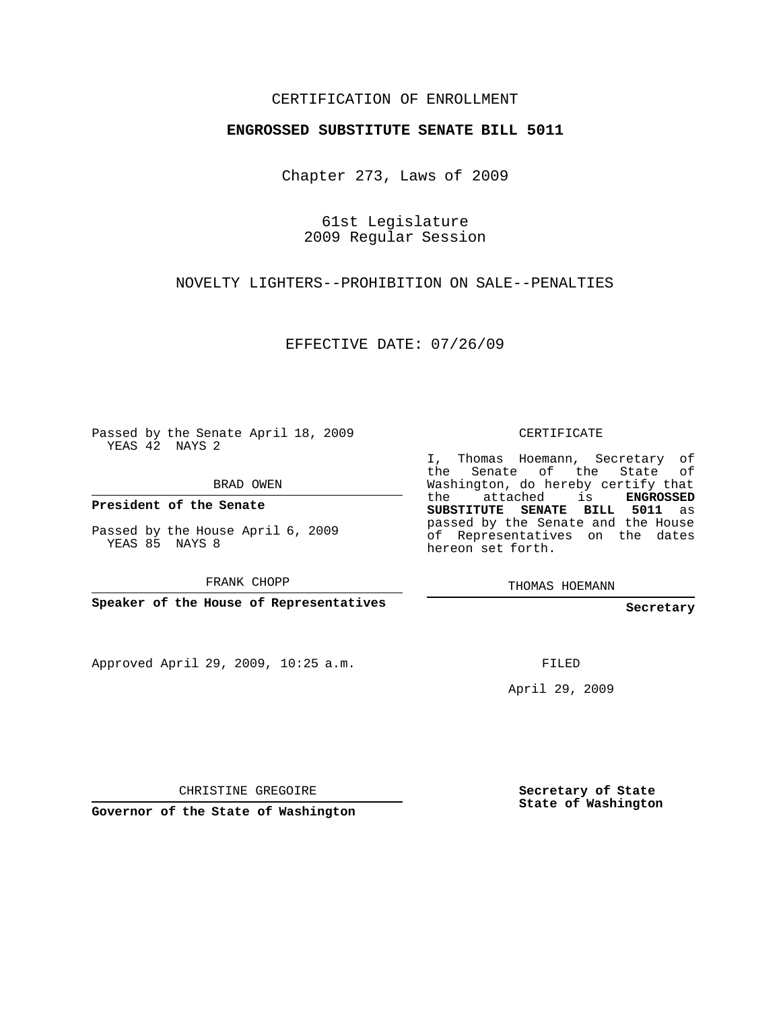## CERTIFICATION OF ENROLLMENT

## **ENGROSSED SUBSTITUTE SENATE BILL 5011**

Chapter 273, Laws of 2009

61st Legislature 2009 Regular Session

NOVELTY LIGHTERS--PROHIBITION ON SALE--PENALTIES

EFFECTIVE DATE: 07/26/09

Passed by the Senate April 18, 2009 YEAS 42 NAYS 2

BRAD OWEN

**President of the Senate**

Passed by the House April 6, 2009 YEAS 85 NAYS 8

FRANK CHOPP

**Speaker of the House of Representatives**

Approved April 29, 2009, 10:25 a.m.

CERTIFICATE

I, Thomas Hoemann, Secretary of the Senate of the State of Washington, do hereby certify that the attached is **ENGROSSED SUBSTITUTE SENATE BILL 5011** as passed by the Senate and the House of Representatives on the dates hereon set forth.

THOMAS HOEMANN

**Secretary**

FILED

April 29, 2009

CHRISTINE GREGOIRE

**Governor of the State of Washington**

**Secretary of State State of Washington**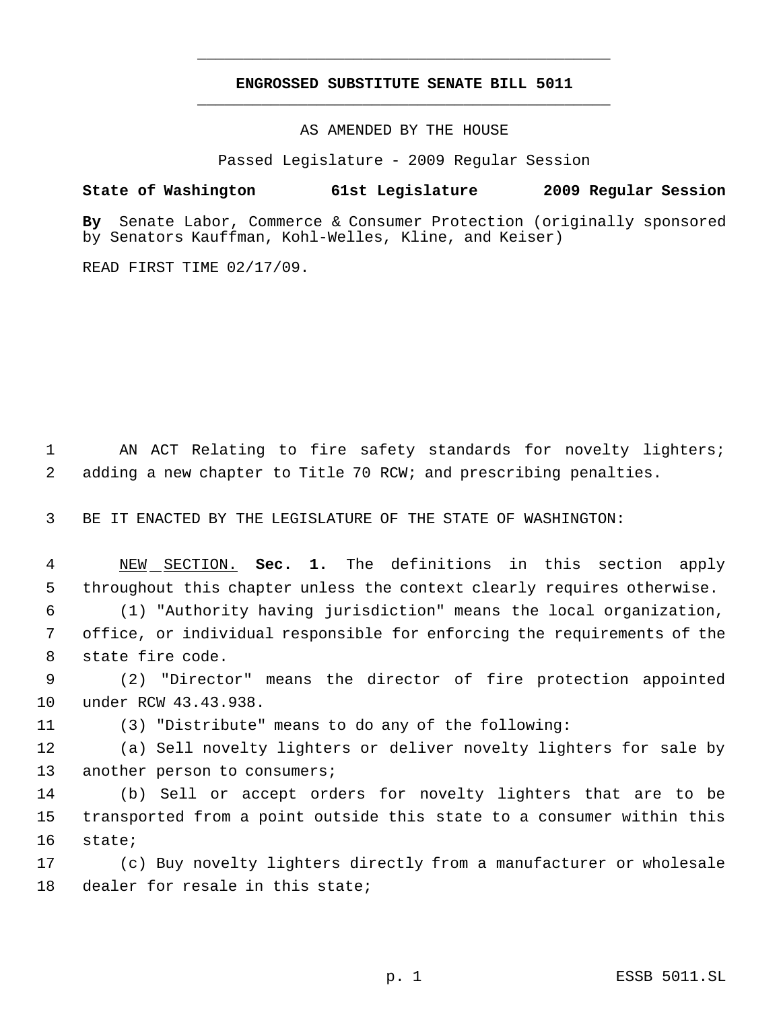## **ENGROSSED SUBSTITUTE SENATE BILL 5011** \_\_\_\_\_\_\_\_\_\_\_\_\_\_\_\_\_\_\_\_\_\_\_\_\_\_\_\_\_\_\_\_\_\_\_\_\_\_\_\_\_\_\_\_\_

\_\_\_\_\_\_\_\_\_\_\_\_\_\_\_\_\_\_\_\_\_\_\_\_\_\_\_\_\_\_\_\_\_\_\_\_\_\_\_\_\_\_\_\_\_

AS AMENDED BY THE HOUSE

Passed Legislature - 2009 Regular Session

## **State of Washington 61st Legislature 2009 Regular Session**

**By** Senate Labor, Commerce & Consumer Protection (originally sponsored by Senators Kauffman, Kohl-Welles, Kline, and Keiser)

READ FIRST TIME 02/17/09.

1 AN ACT Relating to fire safety standards for novelty lighters; 2 adding a new chapter to Title 70 RCW; and prescribing penalties.

3 BE IT ENACTED BY THE LEGISLATURE OF THE STATE OF WASHINGTON:

 4 NEW SECTION. **Sec. 1.** The definitions in this section apply 5 throughout this chapter unless the context clearly requires otherwise.

 6 (1) "Authority having jurisdiction" means the local organization, 7 office, or individual responsible for enforcing the requirements of the 8 state fire code.

 9 (2) "Director" means the director of fire protection appointed 10 under RCW 43.43.938.

11 (3) "Distribute" means to do any of the following:

12 (a) Sell novelty lighters or deliver novelty lighters for sale by 13 another person to consumers;

14 (b) Sell or accept orders for novelty lighters that are to be 15 transported from a point outside this state to a consumer within this 16 state;

17 (c) Buy novelty lighters directly from a manufacturer or wholesale 18 dealer for resale in this state;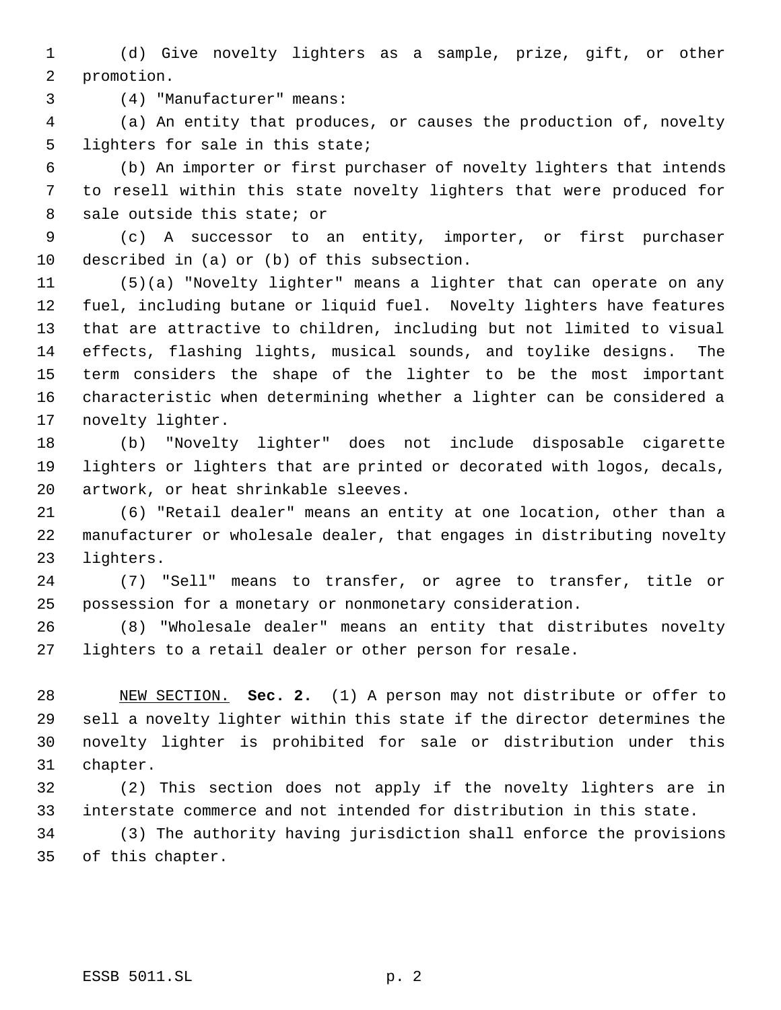(d) Give novelty lighters as a sample, prize, gift, or other promotion.

(4) "Manufacturer" means:

 (a) An entity that produces, or causes the production of, novelty lighters for sale in this state;

 (b) An importer or first purchaser of novelty lighters that intends to resell within this state novelty lighters that were produced for sale outside this state; or

 (c) A successor to an entity, importer, or first purchaser described in (a) or (b) of this subsection.

 (5)(a) "Novelty lighter" means a lighter that can operate on any fuel, including butane or liquid fuel. Novelty lighters have features that are attractive to children, including but not limited to visual effects, flashing lights, musical sounds, and toylike designs. The term considers the shape of the lighter to be the most important characteristic when determining whether a lighter can be considered a novelty lighter.

 (b) "Novelty lighter" does not include disposable cigarette lighters or lighters that are printed or decorated with logos, decals, artwork, or heat shrinkable sleeves.

 (6) "Retail dealer" means an entity at one location, other than a manufacturer or wholesale dealer, that engages in distributing novelty lighters.

 (7) "Sell" means to transfer, or agree to transfer, title or possession for a monetary or nonmonetary consideration.

 (8) "Wholesale dealer" means an entity that distributes novelty lighters to a retail dealer or other person for resale.

 NEW SECTION. **Sec. 2.** (1) A person may not distribute or offer to sell a novelty lighter within this state if the director determines the novelty lighter is prohibited for sale or distribution under this chapter.

 (2) This section does not apply if the novelty lighters are in interstate commerce and not intended for distribution in this state.

 (3) The authority having jurisdiction shall enforce the provisions of this chapter.